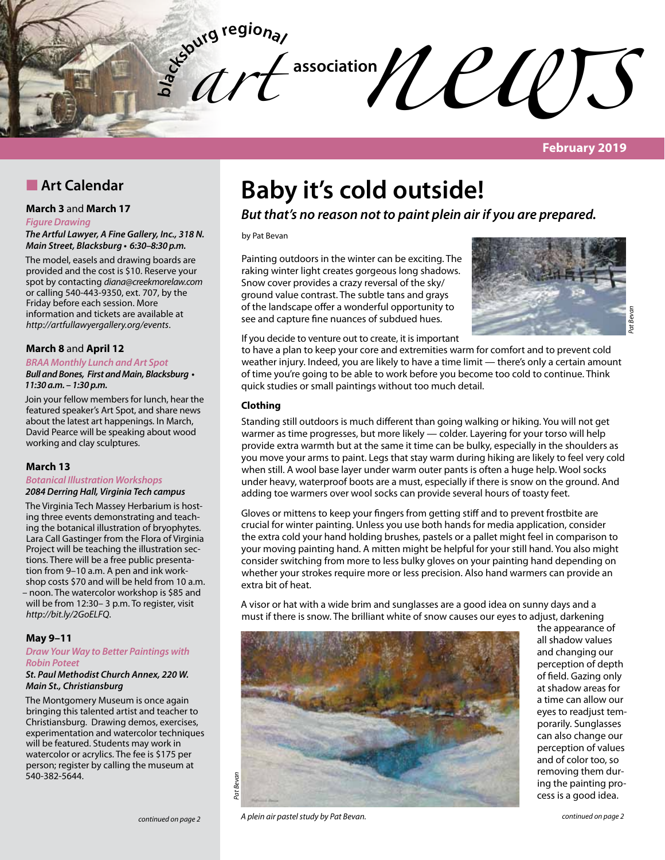

**February 2019**

# **n** Art Calendar

#### **March 3** and **March 17**

#### *Figure Drawing*

*The Artful Lawyer, A Fine Gallery, Inc., 318 N. Main Street, Blacksburg* **• 6:30–8:30 p.m.**

The model, easels and drawing boards are provided and the cost is \$10. Reserve your spot by contacting *diana@creekmorelaw.com* or calling 540-443-9350, ext. 707, by the Friday before each session. More information and tickets are available at *http://artfullawyergallery.org/events*.

#### **March 8** and **April 12**

**BRAA Monthly Lunch and Art Spot**

**Bull and Bones, First and Main, Blacksburg • 11:30 a.m. – 1:30 p.m.**

Join your fellow members for lunch, hear the featured speaker's Art Spot, and share news about the latest art happenings. In March, David Pearce will be speaking about wood working and clay sculptures.

#### **March 13**

#### **Botanical Illustration Workshops 2084 Derring Hall, Virginia Tech campus**

The Virginia Tech Massey Herbarium is hosting three events demonstrating and teaching the botanical illustration of bryophytes. Lara Call Gastinger from the Flora of Virginia Project will be teaching the illustration sections. There will be a free public presentation from 9–10 a.m. A pen and ink workshop costs \$70 and will be held from 10 a.m. – noon. The watercolor workshop is \$85 and will be from 12:30– 3 p.m. To register, visit *http://bit.ly/2GoELFQ*.

#### **May 9–11**

#### *Draw Your Way to Better Paintings with Robin Poteet*

#### **St. Paul Methodist Church Annex, 220 W.**  *Main St., Christiansburg*

The Montgomery Museum is once again bringing this talented artist and teacher to Christiansburg. Drawing demos, exercises, experimentation and watercolor techniques will be featured. Students may work in watercolor or acrylics. The fee is \$175 per person; register by calling the museum at 540-382-5644.

# **Baby it's cold outside!**

### **But that's no reason not to paint plein air if you are prepared.**

by Pat Bevan

Painting outdoors in the winter can be exciting. The raking winter light creates gorgeous long shadows. Snow cover provides a crazy reversal of the sky/ ground value contrast. The subtle tans and grays of the landscape offer a wonderful opportunity to see and capture fine nuances of subdued hues.



If you decide to venture out to create, it is important

to have a plan to keep your core and extremities warm for comfort and to prevent cold weather injury. Indeed, you are likely to have a time limit — there's only a certain amount of time you're going to be able to work before you become too cold to continue. Think quick studies or small paintings without too much detail.

#### **Clothing**

Standing still outdoors is much different than going walking or hiking. You will not get warmer as time progresses, but more likely — colder. Layering for your torso will help provide extra warmth but at the same it time can be bulky, especially in the shoulders as you move your arms to paint. Legs that stay warm during hiking are likely to feel very cold when still. A wool base layer under warm outer pants is often a huge help. Wool socks under heavy, waterproof boots are a must, especially if there is snow on the ground. And adding toe warmers over wool socks can provide several hours of toasty feet.

Gloves or mittens to keep your fingers from getting stiff and to prevent frostbite are crucial for winter painting. Unless you use both hands for media application, consider the extra cold your hand holding brushes, pastels or a pallet might feel in comparison to your moving painting hand. A mitten might be helpful for your still hand. You also might consider switching from more to less bulky gloves on your painting hand depending on whether your strokes require more or less precision. Also hand warmers can provide an extra bit of heat.

A visor or hat with a wide brim and sunglasses are a good idea on sunny days and a must if there is snow. The brilliant white of snow causes our eyes to adjust, darkening



the appearance of all shadow values and changing our perception of depth of field. Gazing only at shadow areas for a time can allow our eyes to readjust temporarily. Sunglasses can also change our perception of values and of color too, so removing them during the painting process is a good idea.

*continued on page 2 continued on page 2 A plein air pastel study by Pat Bevan.*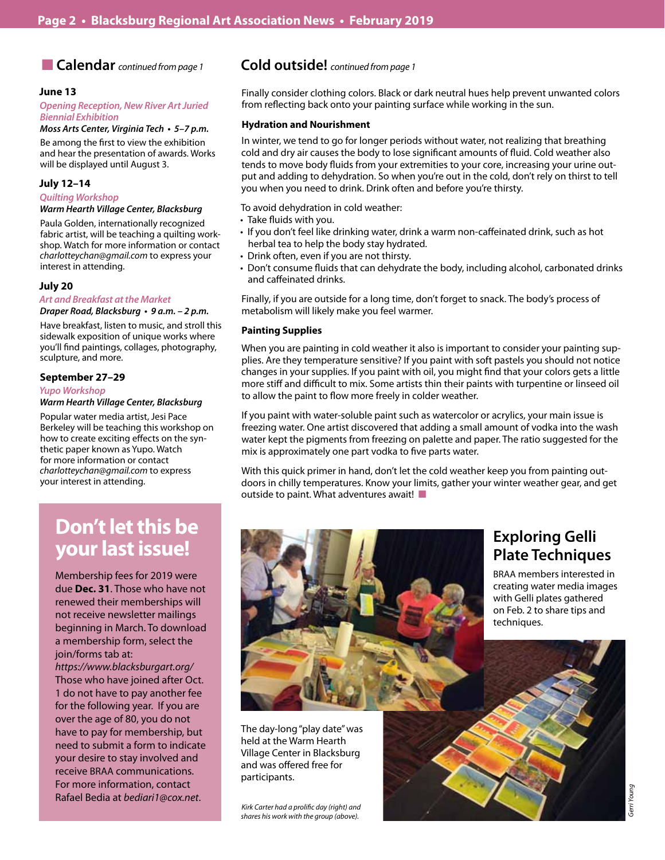### ■ **Calendar** *continued from page 1*

#### **June 13**

#### **Opening Reception, New River Art Juried**  *Biennial Exhibition*

#### **Moss Arts Center, Virginia Tech • 5–7 p.m.**

Be among the first to view the exhibition and hear the presentation of awards. Works will be displayed until August 3.

#### **July 12–14**

#### **Quilting Workshop**

#### **Warm Hearth Village Center, Blacksburg**

Paula Golden, internationally recognized fabric artist, will be teaching a quilting workshop. Watch for more information or contact *charlotteychan@gmail.com* to express your interest in attending.

#### **July 20**

#### *Art and Breakfast at the Market* **Draper Road, Blacksburg • 9 a.m. – 2 p.m.**

Have breakfast, listen to music, and stroll this sidewalk exposition of unique works where you'll find paintings, collages, photography, sculpture, and more.

#### **September 27–29**

**Yupo Workshop Warm Hearth Village Center, Blacksburg** 

Popular water media artist, Jesi Pace Berkeley will be teaching this workshop on how to create exciting effects on the synthetic paper known as Yupo. Watch for more information or contact *charlotteychan@gmail.com* to express your interest in attending.

### **Cold outside!** *continued from page 1*

Finally consider clothing colors. Black or dark neutral hues help prevent unwanted colors from reflecting back onto your painting surface while working in the sun.

#### **Hydration and Nourishment**

In winter, we tend to go for longer periods without water, not realizing that breathing cold and dry air causes the body to lose significant amounts of fluid. Cold weather also tends to move body fluids from your extremities to your core, increasing your urine output and adding to dehydration. So when you're out in the cold, don't rely on thirst to tell you when you need to drink. Drink often and before you're thirsty.

To avoid dehydration in cold weather:

- • Take fluids with you.
- If you don't feel like drinking water, drink a warm non-caffeinated drink, such as hot herbal tea to help the body stay hydrated.
- Drink often, even if you are not thirsty.
- Don't consume fluids that can dehydrate the body, including alcohol, carbonated drinks and caffeinated drinks.

Finally, if you are outside for a long time, don't forget to snack. The body's process of metabolism will likely make you feel warmer.

#### **Painting Supplies**

When you are painting in cold weather it also is important to consider your painting supplies. Are they temperature sensitive? If you paint with soft pastels you should not notice changes in your supplies. If you paint with oil, you might find that your colors gets a little more stiff and difficult to mix. Some artists thin their paints with turpentine or linseed oil to allow the paint to flow more freely in colder weather.

If you paint with water-soluble paint such as watercolor or acrylics, your main issue is freezing water. One artist discovered that adding a small amount of vodka into the wash water kept the pigments from freezing on palette and paper. The ratio suggested for the mix is approximately one part vodka to five parts water.

With this quick primer in hand, don't let the cold weather keep you from painting outdoors in chilly temperatures. Know your limits, gather your winter weather gear, and get outside to paint. What adventures await!

# **Don't let this be your last issue!**

Membership fees for 2019 were due **Dec. 31**. Those who have not renewed their memberships will not receive newsletter mailings beginning in March. To download a membership form, select the join/forms tab at:

*https://www.blacksburgart.org/* Those who have joined after Oct. 1 do not have to pay another fee for the following year. If you are over the age of 80, you do not have to pay for membership, but need to submit a form to indicate your desire to stay involved and receive BRAA communications. For more information, contact Rafael Bedia at *bediari1@cox.net*.



The day-long "play date" was held at the Warm Hearth Village Center in Blacksburg and was offered free for participants.

*Kirk Carter had a prolific day (right) and shares his work with the group (above).*

# **Exploring Gelli Plate Techniques**

BRAA members interested in creating water media images with Gelli plates gathered on Feb. 2 to share tips and techniques.

*Gerri Young*

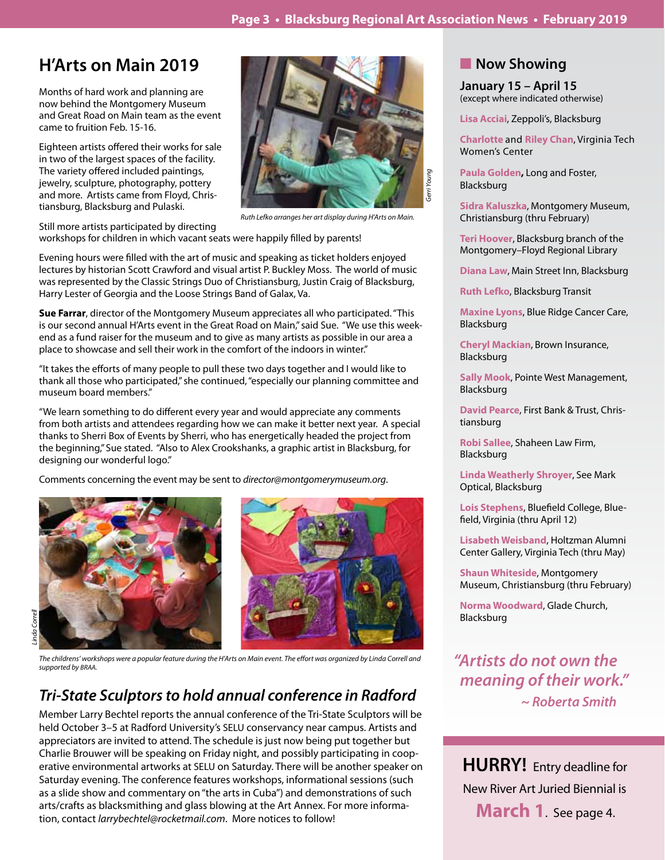# **H'Arts on Main 2019**

Months of hard work and planning are now behind the Montgomery Museum and Great Road on Main team as the event came to fruition Feb. 15-16.

Eighteen artists offered their works for sale in two of the largest spaces of the facility. The variety offered included paintings, jewelry, sculpture, photography, pottery and more. Artists came from Floyd, Christiansburg, Blacksburg and Pulaski.



*Ruth Lefko arranges her art display during H'Arts on Main.*

Still more artists participated by directing workshops for children in which vacant seats were happily filled by parents!

Evening hours were filled with the art of music and speaking as ticket holders enjoyed lectures by historian Scott Crawford and visual artist P. Buckley Moss. The world of music was represented by the Classic Strings Duo of Christiansburg, Justin Craig of Blacksburg, Harry Lester of Georgia and the Loose Strings Band of Galax, Va.

**Sue Farrar**, director of the Montgomery Museum appreciates all who participated. "This is our second annual H'Arts event in the Great Road on Main," said Sue. "We use this weekend as a fund raiser for the museum and to give as many artists as possible in our area a place to showcase and sell their work in the comfort of the indoors in winter."

"It takes the efforts of many people to pull these two days together and I would like to thank all those who participated," she continued, "especially our planning committee and museum board members."

"We learn something to do different every year and would appreciate any comments from both artists and attendees regarding how we can make it better next year. A special thanks to Sherri Box of Events by Sherri, who has energetically headed the project from the beginning," Sue stated. "Also to Alex Crookshanks, a graphic artist in Blacksburg, for designing our wonderful logo."

Comments concerning the event may be sent to *director@montgomerymuseum.org*.



*The childrens' workshops were a popular feature during the H'Arts on Main event. The effort was organized by Linda Correll and supported by BRAA.*

# **Tri-State Sculptors to hold annual conference in Radford**

Member Larry Bechtel reports the annual conference of the Tri-State Sculptors will be held October 3–5 at Radford University's SELU conservancy near campus. Artists and appreciators are invited to attend. The schedule is just now being put together but Charlie Brouwer will be speaking on Friday night, and possibly participating in cooperative environmental artworks at SELU on Saturday. There will be another speaker on Saturday evening. The conference features workshops, informational sessions (such as a slide show and commentary on "the arts in Cuba") and demonstrations of such arts/crafts as blacksmithing and glass blowing at the Art Annex. For more information, contact *larrybechtel@rocketmail.com*. More notices to follow!

## **Now Showing**

**January 15 – April 15** (except where indicated otherwise)

**Lisa Acciai**, Zeppoli's, Blacksburg

**Charlotte** and **Riley Chan**, Virginia Tech Women's Center

**Paula Golden,** Long and Foster, Blacksburg

**Sidra Kaluszka**, Montgomery Museum, Christiansburg (thru February)

**Teri Hoover**, Blacksburg branch of the Montgomery–Floyd Regional Library

**Diana Law**, Main Street Inn, Blacksburg

**Ruth Lefko**, Blacksburg Transit

**Maxine Lyons**, Blue Ridge Cancer Care, Blacksburg

**Cheryl Mackian**, Brown Insurance, Blacksburg

**Sally Mook**, Pointe West Management, Blacksburg

**David Pearce**, First Bank & Trust, Christiansburg

**Robi Sallee**, Shaheen Law Firm, Blacksburg

**Linda Weatherly Shroyer**, See Mark Optical, Blacksburg

**Lois Stephens**, Bluefield College, Bluefield, Virginia (thru April 12)

**Lisabeth Weisband**, Holtzman Alumni Center Gallery, Virginia Tech (thru May)

**Shaun Whiteside**, Montgomery Museum, Christiansburg (thru February)

**Norma Woodward**, Glade Church, Blacksburg

*"Artists do not own the*  **meaning of their work."** **~ Roberta Smith**

**HURRY!** Entry deadline for New River Art Juried Biennial is **March 1**. See page 4.